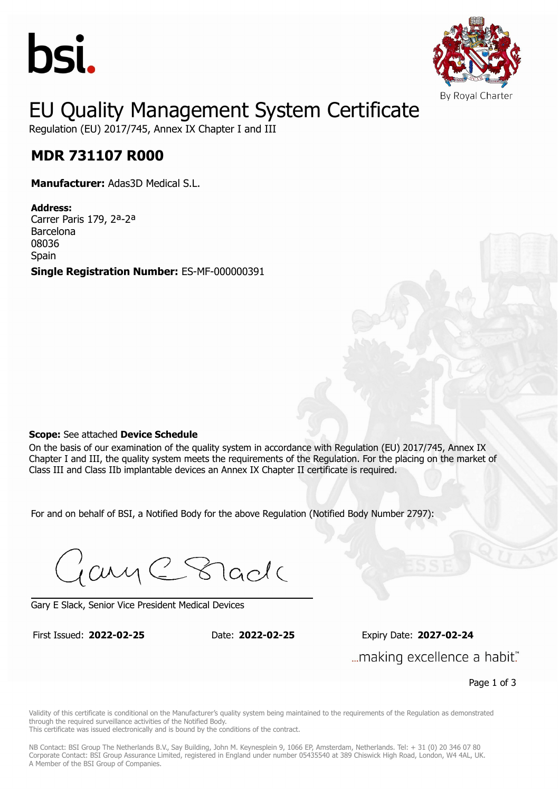



### EU Quality Management System Certificate

Regulation (EU) 2017/745, Annex IX Chapter I and III

## **MDR 731107 R000 MDR 731107 R000**

**Manufacturer:** Adas3D Medical S.L.

**Address:** Carrer Paris 179, 2ª-2ª Barcelona 08036 **Spain Single Registration Number:** ES-MF-000000391

#### **Scope:** See attached **Device Schedule**

On the basis of our examination of the quality system in accordance with Regulation (EU) 2017/745, Annex IX Chapter I and III, the quality system meets the requirements of the Regulation. For the placing on the market of Class III and Class IIb implantable devices an Annex IX Chapter II certificate is required.

For and on behalf of BSI, a Notified Body for the above Regulation (Notified Body Number 2797):

Gary C Stade

Gary E Slack, Senior Vice President Medical Devices

First Issued: **2022-02-25** Date: **2022-02-25** Expiry Date: **2027-02-24** First Issued: **2022-02-25** Date: **2022-02-25** Expiry Date: **2027-02-24** "...making excellence a habit.

Page 1 of 3

Validity of this certificate is conditional on the Manufacturer's quality system being maintained to the requirements of the Regulation as demonstrated through the required surveillance activities of the Notified Body.

This certificate was issued electronically and is bound by the conditions of the contract.

NB Contact: BSI Group The Netherlands B.V., Say Building, John M. Keynesplein 9, 1066 EP, Amsterdam, Netherlands. Tel: + 31 (0) 20 346 07 80 Corporate Contact: BSI Group Assurance Limited, registered in England under number 05435540 at 389 Chiswick High Road, London, W4 4AL, UK. A Member of the BSI Group of Companies.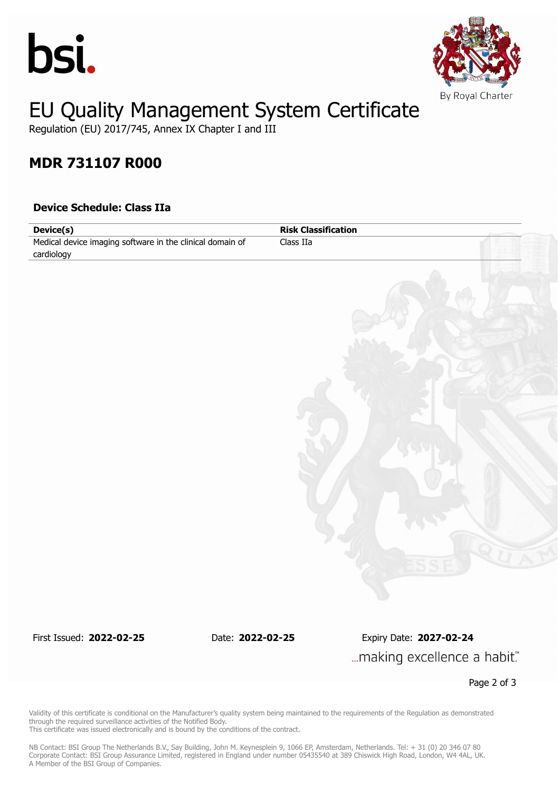



# EU Quality Management System Certificate

Regulation (EU) 2017/745, Annex IX Chapter I and III

### **MDR 731107 R000**

### **Device Schedule: Class IIa**

| Device(s)                                                 | <b>Risk Classification</b> |  |
|-----------------------------------------------------------|----------------------------|--|
| Medical device imaging software in the clinical domain of | Class $IIa$                |  |
| cardiology                                                |                            |  |
|                                                           |                            |  |
|                                                           |                            |  |
|                                                           |                            |  |
|                                                           |                            |  |
|                                                           |                            |  |
|                                                           |                            |  |
|                                                           |                            |  |
|                                                           |                            |  |
|                                                           |                            |  |
|                                                           |                            |  |
|                                                           |                            |  |
|                                                           |                            |  |
|                                                           |                            |  |
|                                                           |                            |  |
|                                                           |                            |  |
|                                                           |                            |  |
|                                                           |                            |  |
|                                                           |                            |  |
|                                                           |                            |  |
|                                                           |                            |  |
|                                                           |                            |  |
|                                                           |                            |  |
|                                                           |                            |  |
|                                                           |                            |  |
|                                                           |                            |  |

First Issued: **2022-02-25** Date: **2022-02-25** Expiry Date: **2027-02-24** ... making excellence a habit."

Page 2 of 3

Validity of this certificate is conditional on the Manufacturer's quality system being maintained to the requirements of the Regulation as demonstrated through the required surveillance activities of the Notified Body. This certificate was issued electronically and is bound by the conditions of the contract.

NB Contact: BSI Group The Netherlands B.V., Say Building, John M. Keynesplein 9, 1066 EP, Amsterdam, Netherlands. Tel: + 31 (0) 20 346 07 80 Corporate Contact: BSI Group Assurance Limited, registered in England under number 05435540 at 389 Chiswick High Road, London, W4 4AL, UK. A Member of the BSI Group of Companies.